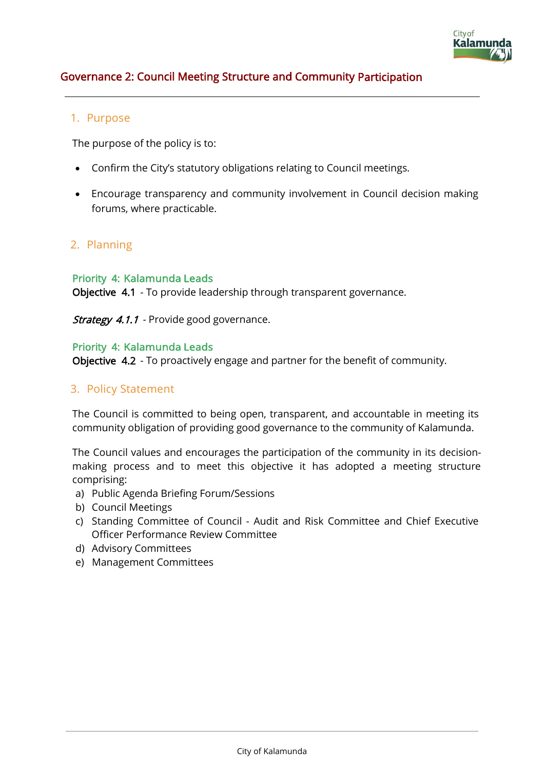

# Governance 2: Council Meeting Structure and Community Participation

# 1. Purpose

The purpose of the policy is to:

- Confirm the City's statutory obligations relating to Council meetings.
- Encourage transparency and community involvement in Council decision making forums, where practicable.

# 2. Planning

#### Priority 4: Kalamunda Leads

Objective 4.1 - To provide leadership through transparent governance.

Strategy 4.1.1 - Provide good governance.

#### Priority 4: Kalamunda Leads

Objective 4.2 - To proactively engage and partner for the benefit of community.

# 3. Policy Statement

The Council is committed to being open, transparent, and accountable in meeting its community obligation of providing good governance to the community of Kalamunda.

The Council values and encourages the participation of the community in its decisionmaking process and to meet this objective it has adopted a meeting structure comprising:

- a) Public Agenda Briefing Forum/Sessions
- b) Council Meetings
- c) Standing Committee of Council Audit and Risk Committee and Chief Executive Officer Performance Review Committee
- d) Advisory Committees
- e) Management Committees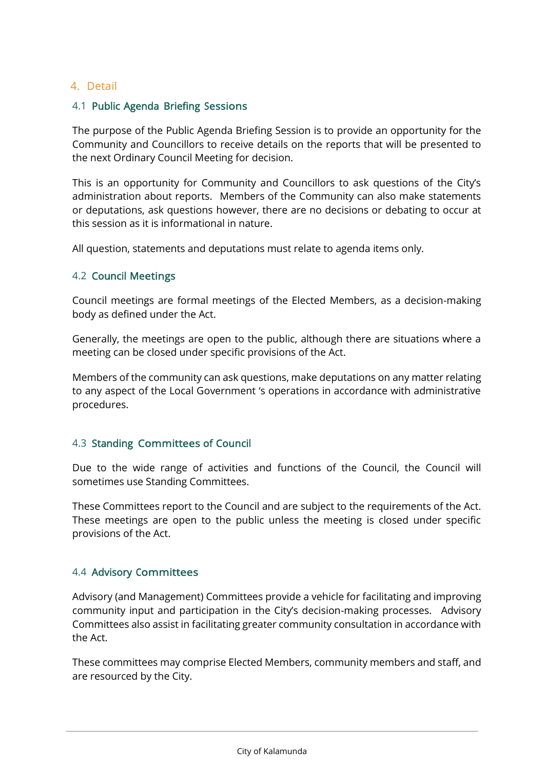# 4. Detail

### 4.1 Public Agenda Briefing Sessions

The purpose of the Public Agenda Briefing Session is to provide an opportunity for the Community and Councillors to receive details on the reports that will be presented to the next Ordinary Council Meeting for decision.

This is an opportunity for Community and Councillors to ask questions of the City's administration about reports. Members of the Community can also make statements or deputations, ask questions however, there are no decisions or debating to occur at this session as it is informational in nature.

All question, statements and deputations must relate to agenda items only.

#### 4.2 Council Meetings

Council meetings are formal meetings of the Elected Members, as a decision-making body as defined under the Act.

Generally, the meetings are open to the public, although there are situations where a meeting can be closed under specific provisions of the Act.

Members of the community can ask questions, make deputations on any matter relating to any aspect of the Local Government 's operations in accordance with administrative procedures.

# 4.3 Standing Committees of Council

Due to the wide range of activities and functions of the Council, the Council will sometimes use Standing Committees.

These Committees report to the Council and are subject to the requirements of the Act. These meetings are open to the public unless the meeting is closed under specific provisions of the Act.

# 4.4 Advisory Committees

Advisory (and Management) Committees provide a vehicle for facilitating and improving community input and participation in the City's decision-making processes. Advisory Committees also assist in facilitating greater community consultation in accordance with the Act.

These committees may comprise Elected Members, community members and staff, and are resourced by the City.